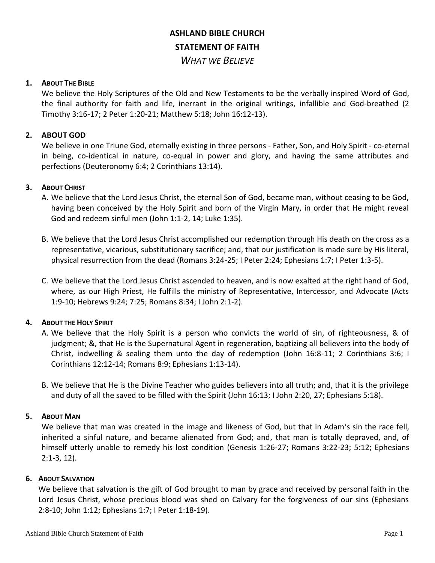# **ASHLAND BIBLE CHURCH STATEMENT OF FAITH** *WHAT WE BELIEVE*

## **1. ABOUT THE BIBLE**

We believe the Holy Scriptures of the Old and New Testaments to be the verbally inspired Word of God, the final authority for faith and life, inerrant in the original writings, infallible and God-breathed (2 Timothy 3:16-17; 2 Peter 1:20-21; Matthew 5:18; John 16:12-13).

## **2. ABOUT GOD**

We believe in one Triune God, eternally existing in three persons - Father, Son, and Holy Spirit - co-eternal in being, co-identical in nature, co-equal in power and glory, and having the same attributes and perfections (Deuteronomy 6:4; 2 Corinthians 13:14).

## **3. ABOUT CHRIST**

- A. We believe that the Lord Jesus Christ, the eternal Son of God, became man, without ceasing to be God, having been conceived by the Holy Spirit and born of the Virgin Mary, in order that He might reveal God and redeem sinful men (John 1:1-2, 14; Luke 1:35).
- B. We believe that the Lord Jesus Christ accomplished our redemption through His death on the cross as a representative, vicarious, substitutionary sacrifice; and, that our justification is made sure by His literal, physical resurrection from the dead (Romans 3:24-25; I Peter 2:24; Ephesians 1:7; I Peter 1:3-5).
- C. We believe that the Lord Jesus Christ ascended to heaven, and is now exalted at the right hand of God, where, as our High Priest, He fulfills the ministry of Representative, Intercessor, and Advocate (Acts 1:9-10; Hebrews 9:24; 7:25; Romans 8:34; I John 2:1-2).

# **4. ABOUT THE HOLY SPIRIT**

- A. We believe that the Holy Spirit is a person who convicts the world of sin, of righteousness, & of judgment; &, that He is the Supernatural Agent in regeneration, baptizing all believers into the body of Christ, indwelling & sealing them unto the day of redemption (John 16:8-11; 2 Corinthians 3:6; I Corinthians 12:12-14; Romans 8:9; Ephesians 1:13-14).
- B. We believe that He is the Divine Teacher who guides believers into all truth; and, that it is the privilege and duty of all the saved to be filled with the Spirit (John 16:13; I John 2:20, 27; Ephesians 5:18).

#### **5. ABOUT MAN**

We believe that man was created in the image and likeness of God, but that in Adam's sin the race fell, inherited a sinful nature, and became alienated from God; and, that man is totally depraved, and, of himself utterly unable to remedy his lost condition (Genesis 1:26-27; Romans 3:22-23; 5:12; Ephesians 2:1-3, 12).

#### **6. ABOUT SALVATION**

We believe that salvation is the gift of God brought to man by grace and received by personal faith in the Lord Jesus Christ, whose precious blood was shed on Calvary for the forgiveness of our sins (Ephesians 2:8-10; John 1:12; Ephesians 1:7; I Peter 1:18-19).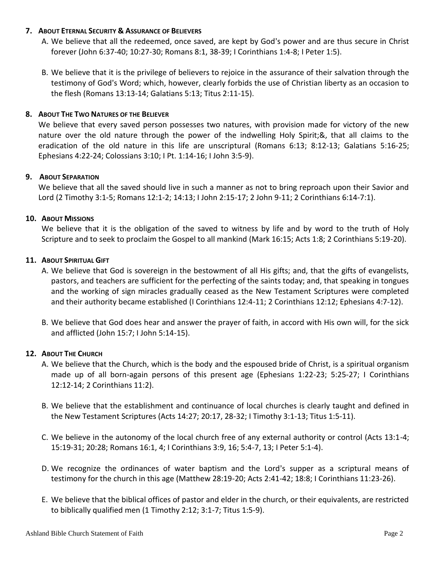## **7. ABOUT ETERNAL SECURITY & ASSURANCE OF BELIEVERS**

- A. We believe that all the redeemed, once saved, are kept by God's power and are thus secure in Christ forever (John 6:37-40; 10:27-30; Romans 8:1, 38-39; I Corinthians 1:4-8; I Peter 1:5).
- B. We believe that it is the privilege of believers to rejoice in the assurance of their salvation through the testimony of God's Word; which, however, clearly forbids the use of Christian liberty as an occasion to the flesh (Romans 13:13-14; Galatians 5:13; Titus 2:11-15).

## **8. ABOUT THE TWO NATURES OF THE BELIEVER**

We believe that every saved person possesses two natures, with provision made for victory of the new nature over the old nature through the power of the indwelling Holy Spirit;&, that all claims to the eradication of the old nature in this life are unscriptural (Romans 6:13; 8:12-13; Galatians 5:16-25; Ephesians 4:22-24; Colossians 3:10; I Pt. 1:14-16; I John 3:5-9).

#### **9. ABOUT SEPARATION**

We believe that all the saved should live in such a manner as not to bring reproach upon their Savior and Lord (2 Timothy 3:1-5; Romans 12:1-2; 14:13; I John 2:15-17; 2 John 9-11; 2 Corinthians 6:14-7:1).

## **10. ABOUT MISSIONS**

We believe that it is the obligation of the saved to witness by life and by word to the truth of Holy Scripture and to seek to proclaim the Gospel to all mankind (Mark 16:15; Acts 1:8; 2 Corinthians 5:19-20).

## **11. ABOUT SPIRITUAL GIFT**

- A. We believe that God is sovereign in the bestowment of all His gifts; and, that the gifts of evangelists, pastors, and teachers are sufficient for the perfecting of the saints today; and, that speaking in tongues and the working of sign miracles gradually ceased as the New Testament Scriptures were completed and their authority became established (I Corinthians 12:4-11; 2 Corinthians 12:12; Ephesians 4:7-12).
- B. We believe that God does hear and answer the prayer of faith, in accord with His own will, for the sick and afflicted (John 15:7; I John 5:14-15).

# **12. ABOUT THE CHURCH**

- A. We believe that the Church, which is the body and the espoused bride of Christ, is a spiritual organism made up of all born-again persons of this present age (Ephesians 1:22-23; 5:25-27; I Corinthians 12:12-14; 2 Corinthians 11:2).
- B. We believe that the establishment and continuance of local churches is clearly taught and defined in the New Testament Scriptures (Acts 14:27; 20:17, 28-32; I Timothy 3:1-13; Titus 1:5-11).
- C. We believe in the autonomy of the local church free of any external authority or control (Acts 13:1-4; 15:19-31; 20:28; Romans 16:1, 4; I Corinthians 3:9, 16; 5:4-7, 13; I Peter 5:1-4).
- D. We recognize the ordinances of water baptism and the Lord's supper as a scriptural means of testimony for the church in this age (Matthew 28:19-20; Acts 2:41-42; 18:8; I Corinthians 11:23-26).
- E. We believe that the biblical offices of pastor and elder in the church, or their equivalents, are restricted to biblically qualified men (1 Timothy 2:12; 3:1-7; Titus 1:5-9).